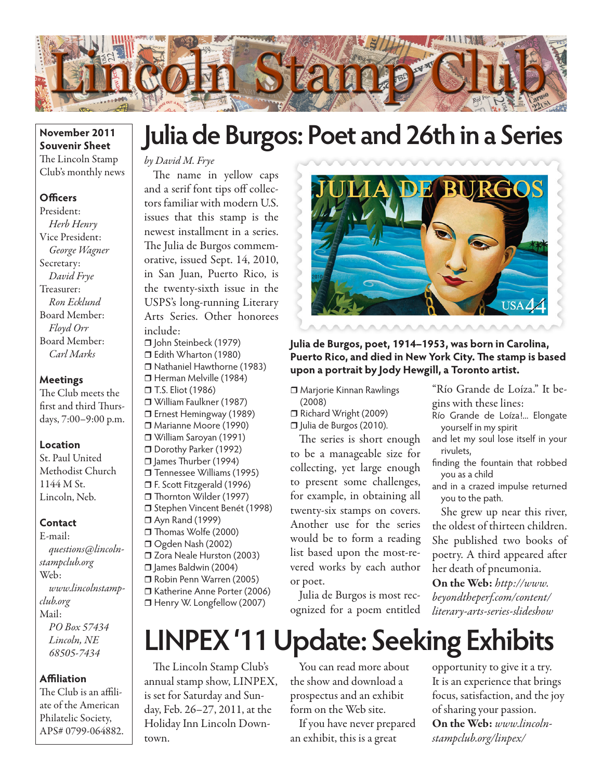

### **November 2011 Souvenir Sheet** The Lincoln Stamp Club's monthly news

### **Officers**

President: *Herb Henry* Vice President: *George Wagner* Secretary: *David Frye* Treasurer: *Ron Ecklund* Board Member: *Floyd Orr* Board Member: *Carl Marks*

#### **Meetings**

The Club meets the first and third Thursdays, 7:00–9:00 p.m.

#### **Location**

St. Paul United Methodist Church 1144 M St. Lincoln, Neb.

#### **Contact**

E-mail: *questions@lincolnstampclub.org* Web: *www.lincolnstampclub.org* Mail: *PO Box 57434 Lincoln, NE 68505-7434*

#### **Affiliation**

The Club is an affiliate of the American Philatelic Society, APS# 0799-064882.

## **Julia de Burgos: Poet and 26th in a Series**

## *by David M. Frye*

The name in yellow caps and a serif font tips off collectors familiar with modern U.S. issues that this stamp is the newest installment in a series. The Julia de Burgos commemorative, issued Sept. 14, 2010, in San Juan, Puerto Rico, is the twenty-sixth issue in the USPS's long-running Literary Arts Series. Other honorees include:

□ John Steinbeck (1979) Edith Wharton (1980) Nathaniel Hawthorne (1983) □ Herman Melville (1984) □ T.S. Eliot (1986) William Faulkner (1987) □ Ernest Hemingway (1989) Marianne Moore (1990) William Saroyan (1991) Dorothy Parker (1992) □ James Thurber (1994) □ Tennessee Williams (1995) F. Scott Fitzgerald (1996) □ Thornton Wilder (1997) □ Stephen Vincent Benét (1998) Ayn Rand (1999) Thomas Wolfe (2000) Ogden Nash (2002) □ Zora Neale Hurston (2003) James Baldwin (2004) Robin Penn Warren (2005) Katherine Anne Porter (2006) □ Henry W. Longfellow (2007)



**Julia de Burgos, poet, 1914–1953, was born in Carolina, Puerto Rico, and died in New York City. The stamp is based upon a portrait by Jody Hewgill, a Toronto artist.**

- Marjorie Kinnan Rawlings (2008)
- Richard Wright (2009)
- □ Julia de Burgos (2010).

The series is short enough to be a manageable size for collecting, yet large enough to present some challenges, for example, in obtaining all twenty-six stamps on covers. Another use for the series would be to form a reading list based upon the most-revered works by each author or poet.

Julia de Burgos is most recognized for a poem entitled

"Río Grande de Loíza." It begins with these lines:

- Río Grande de Loíza!... Elongate yourself in my spirit
- and let my soul lose itself in your rivulets,
- finding the fountain that robbed you as a child
- and in a crazed impulse returned you to the path.

She grew up near this river, the oldest of thirteen children. She published two books of poetry. A third appeared after her death of pneumonia.

On the Web: *http://www. beyondtheperf.com/content/ literary-arts-series-slideshow*

# **LINPEX '11 Update: Seeking Exhibits**

The Lincoln Stamp Club's annual stamp show, LINPEX, is set for Saturday and Sunday, Feb. 26–27, 2011, at the Holiday Inn Lincoln Downtown.

You can read more about the show and download a prospectus and an exhibit form on the Web site.

If you have never prepared an exhibit, this is a great

opportunity to give it a try. It is an experience that brings focus, satisfaction, and the joy of sharing your passion. On the Web: *www.lincolnstampclub.org/linpex/*